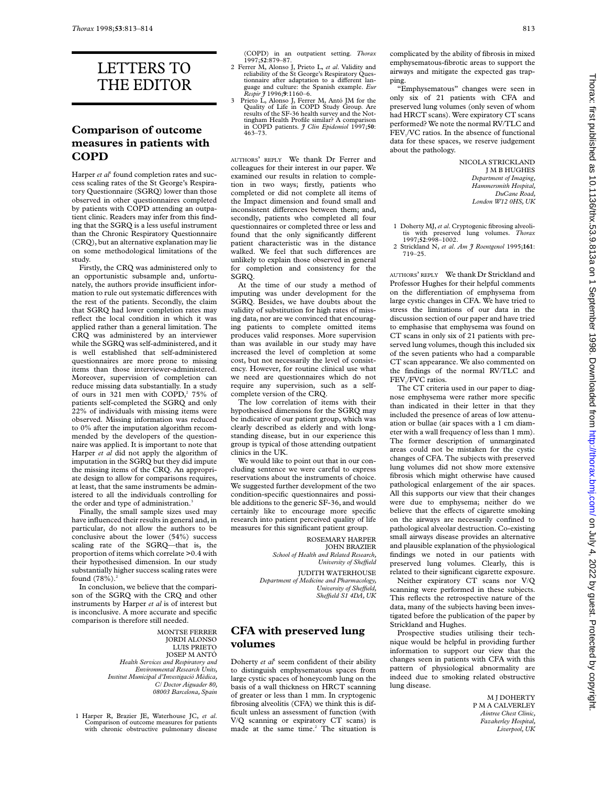# LETTERS TO THE EDITOR

#### **Comparison of outcome measures in patients with COPD**

Harper *et al*<sup>1</sup> found completion rates and success scaling rates of the St George's Respiratory Questionnaire (SGRQ) lower than those observed in other questionnaires completed by patients with COPD attending an outpatient clinic. Readers may infer from this finding that the SGRQ is a less useful instrument than the Chronic Respiratory Questionnaire (CRQ), but an alternative explanation may lie on some methodological limitations of the study.

Firstly, the CRQ was administered only to an opportunistic subsample and, unfortunately, the authors provide insufficient information to rule out systematic differences with the rest of the patients. Secondly, the claim that SGRQ had lower completion rates may reflect the local condition in which it was applied rather than a general limitation. The CRQ was administered by an interviewer while the SGRQ was self-administered, and it is well established that self-administered questionnaires are more prone to missing items than those interviewer-administered. Moreover, supervision of completion can reduce missing data substantially. In a study of ours in 321 men with COPD,<sup>2</sup> 75% of patients self-completed the SGRQ and only 22% of individuals with missing items were observed. Missing information was reduced to 0% after the imputation algorithm recommended by the developers of the questionnaire was applied. It is important to note that Harper *et al* did not apply the algorithm of imputation in the SGRQ but they did impute the missing items of the CRQ. An appropriate design to allow for comparisons requires, at least, that the same instruments be administered to all the individuals controlling for the order and type of administration.<sup>3</sup>

Finally, the small sample sizes used may have influenced their results in general and, in particular, do not allow the authors to be conclusive about the lower (54%) success scaling rate of the SGRQ—that is, the proportion of items which correlate >0.4 with their hypothesised dimension. In our study substantially higher success scaling rates were found  $(78%)$ .<sup>2</sup>

In conclusion, we believe that the comparison of the SGRQ with the CRQ and other instruments by Harper *et al* is of interest but is inconclusive. A more accurate and specific comparison is therefore still needed.

> MONTSE FERRER JORDI ALONSO LUIS PRIETO JOSEP M ANTÓ *Health Services and Respiratory and Environmental Research Units, Institut Municipal d'Investigació Mèdica, C/ Doctor Aiguader 80, 08003 Barcelona, Spain*

1 Harper R, Brazier JE, Waterhouse JC, *et al*. Comparison of outcome measures for patients with chronic obstructive pulmonary disease (COPD) in an outpatient setting. *Thorax* 1997;**52**:879–87.

- 2 Ferrer M, Alonso J, Prieto L, *et al*. Validity and reliability of the St George's Respiratory Questionnaire after adaptation to a different language and culture: the Spanish example. *Eur Respir J* 1996;**9**:1160–6.
- 3 Prieto L, Alonso J, Ferrer M, Antó JM for the Quality of Life in COPD Study Group. Are results of the SF-36 health survey and the Not-tingham Health Profile similar? A comparison in COPD patients. *J Clin Epidemiol* 1997;**50**: 463–73.

AUTHORS' REPLY We thank Dr Ferrer and colleagues for their interest in our paper. We examined our results in relation to completion in two ways; firstly, patients who completed or did not complete all items of the Impact dimension and found small and inconsistent differences between them; and, secondly, patients who completed all four questionnaires or completed three or less and found that the only significantly different patient characteristic was in the distance walked. We feel that such differences are unlikely to explain those observed in general for completion and consistency for the SGRQ.

At the time of our study a method of imputing was under development for the SGRQ. Besides, we have doubts about the validity of substitution for high rates of missing data, nor are we convinced that encouraging patients to complete omitted items produces valid responses. More supervision than was available in our study may have increased the level of completion at some cost, but not necessarily the level of consistency. However, for routine clinical use what we need are questionnaires which do not require any supervision, such as a selfcomplete version of the CRQ.

The low correlation of items with their hypothesised dimensions for the SGRQ may be indicative of our patient group, which was clearly described as elderly and with longstanding disease, but in our experience this group is typical of those attending outpatient clinics in the UK.

We would like to point out that in our concluding sentence we were careful to express reservations about the instruments of choice. We suggested further development of the two condition-specific questionnaires and possible additions to the generic SF-36, and would certainly like to encourage more specific research into patient perceived quality of life measures for this significant patient group.

> ROSEMARY HARPER JOHN BRAZIER *School of Health and Related Research, University of SheYeld*

JUDITH WATERHOUSE *Department of Medicine and Pharmacology, University of SheYeld, SheYeld S1 4DA, UK*

#### **CFA with preserved lung volumes**

Doherty *et al*<sup>1</sup> seem confident of their ability to distinguish emphysematous spaces from large cystic spaces of honeycomb lung on the basis of a wall thickness on HRCT scanning of greater or less than 1 mm. In cryptogenic fibrosing alveolitis (CFA) we think this is difficult unless an assessment of function (with V/Q scanning or expiratory CT scans) is made at the same time.<sup>2</sup> The situation is

complicated by the ability of fibrosis in mixed emphysematous-fibrotic areas to support the airways and mitigate the expected gas trapping.

"Emphysematous" changes were seen in only six of 21 patients with CFA and preserved lung volumes (only seven of whom had HRCT scans). Were expiratory CT scans performed? We note the normal RV/TLC and FEV<sub>1</sub>/VC ratios. In the absence of functional data for these spaces, we reserve judgement about the pathology.

> NICOLA STRICKLAND J M B HUGHES *Department of Imaging, Hammersmith Hospital, DuCane Road, London W12 0HS, UK*

- 1 Doherty MJ, *et al*. Cryptogenic fibrosing alveoli-tis with preserved lung volumes. *Thorax* 1997;**52**:998–1002.
- 2 Strickland N, *et al*. *Am J Roentgenol* 1995;**161**: 719–25.

AUTHORS' REPLY We thank Dr Strickland and Professor Hughes for their helpful comments on the differentiation of emphysema from large cystic changes in CFA. We have tried to stress the limitations of our data in the discussion section of our paper and have tried to emphasise that emphysema was found on CT scans in only six of 21 patients with preserved lung volumes, though this included six of the seven patients who had a comparable CT scan appearance. We also commented on the findings of the normal RV/TLC and FEV<sub>1</sub>/FVC ratios.

The CT criteria used in our paper to diagnose emphysema were rather more specific than indicated in their letter in that they included the presence of areas of low attenuation or bullae (air spaces with a 1 cm diameter with a wall frequency of less than 1 mm). The former description of unmarginated areas could not be mistaken for the cystic changes of CFA. The subjects with preserved lung volumes did not show more extensive fibrosis which might otherwise have caused pathological enlargement of the air spaces. All this supports our view that their changes were due to emphysema; neither do we believe that the effects of cigarette smoking on the airways are necessarily confined to pathological alveolar destruction. Co-existing small airways disease provides an alternative and plausible explanation of the physiological findings we noted in our patients with preserved lung volumes. Clearly, this is related to their significant cigarette exposure.

Neither expiratory CT scans nor V/Q scanning were performed in these subjects. This reflects the retrospective nature of the data, many of the subjects having been investigated before the publication of the paper by Strickland and Hughes.

Prospective studies utilising their technique would be helpful in providing further information to support our view that the changes seen in patients with CFA with this pattern of physiological abnormality are indeed due to smoking related obstructive lung disease.

> M J DOHERTY P M A CALVERLEY *Aintree Chest Clinic, Fazakerley Hospital, Liverpool, UK*